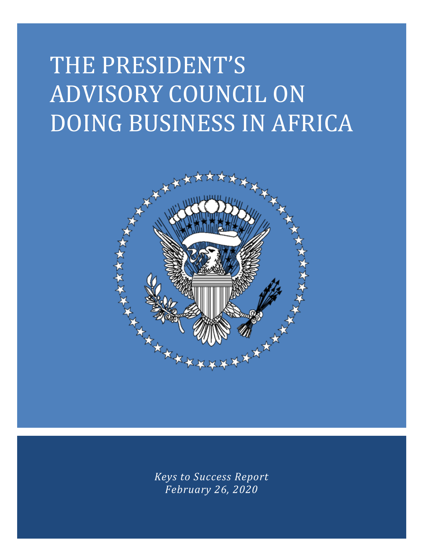# THE PRESIDENT'S ADVISORY COUNCIL ON DOING BUSINESS IN AFRICA



*Keys to Success Report February 26, 2020*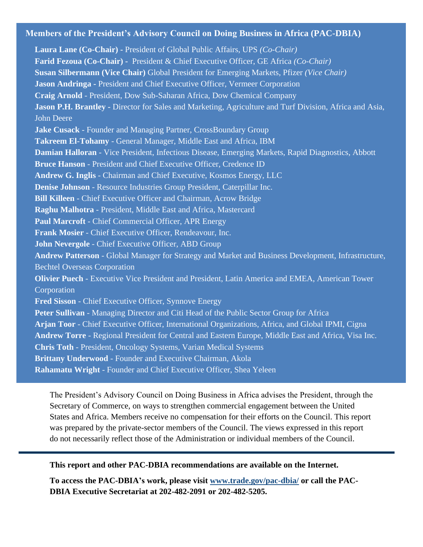## **Members of the President's Advisory Council on Doing Business in Africa (PAC-DBIA)**

**Laura Lane (Co-Chair) -** President of Global Public Affairs, UPS *(Co-Chair)* **Farid Fezoua (Co-Chair) -** President & Chief Executive Officer, GE Africa *(Co-Chair)* **Susan Silbermann (Vice Chair)** Global President for Emerging Markets, Pfizer *(Vice Chair)* **Jason Andringa -** President and Chief Executive Officer, Vermeer Corporation **Craig Arnold** - President, Dow Sub-Saharan Africa, Dow Chemical Company **Jason P.H. Brantley -** Director for Sales and Marketing, Agriculture and Turf Division, Africa and Asia, John Deere **Jake Cusack** - Founder and Managing Partner, CrossBoundary Group **Takreem El-Tohamy** - General Manager, Middle East and Africa, IBM **Damian Halloran** - Vice President, Infectious Disease, Emerging Markets, Rapid Diagnostics, Abbott **Bruce Hanson** - President and Chief Executive Officer, Credence ID **Andrew G. Inglis** - Chairman and Chief Executive, Kosmos Energy, LLC **Denise Johnson** - Resource Industries Group President, Caterpillar Inc. **Bill Killeen** - Chief Executive Officer and Chairman, Acrow Bridge **Raghu Malhotra** - President, Middle East and Africa, Mastercard **Paul Marcroft** - Chief Commercial Officer, APR Energy **Frank Mosier** - Chief Executive Officer, Rendeavour, Inc. **John Nevergole** - Chief Executive Officer, ABD Group **Andrew Patterson** - Global Manager for Strategy and Market and Business Development, Infrastructure, Bechtel Overseas Corporation **Olivier Puech** - Executive Vice President and President, Latin America and EMEA, American Tower Corporation **Fred Sisson** - Chief Executive Officer, Synnove Energy **Peter Sullivan** - Managing Director and Citi Head of the Public Sector Group for Africa **Arjan Toor** - Chief Executive Officer, International Organizations, Africa, and Global IPMI, Cigna **Andrew Torre** - Regional President for Central and Eastern Europe, Middle East and Africa, Visa Inc. **Chris Toth** - President, Oncology Systems, Varian Medical Systems **Brittany Underwood** - Founder and Executive Chairman, Akola **Rahamatu Wright** - Founder and Chief Executive Officer, Shea Yeleen

The President's Advisory Council on Doing Business in Africa advises the President, through the Secretary of Commerce, on ways to strengthen commercial engagement between the United States and Africa. Members receive no compensation for their efforts on the Council. This report was prepared by the private-sector members of the Council. The views expressed in this report do not necessarily reflect those of the Administration or individual members of the Council.

## **This report and other PAC-DBIA recommendations are available on the Internet.**

**To access the PAC-DBIA's work, please visit [www.trade.gov/pac-dbia/](http://www.trade.gov/pac-dbia/) or call the PAC-DBIA Executive Secretariat at 202-482-2091 or 202-482-5205.**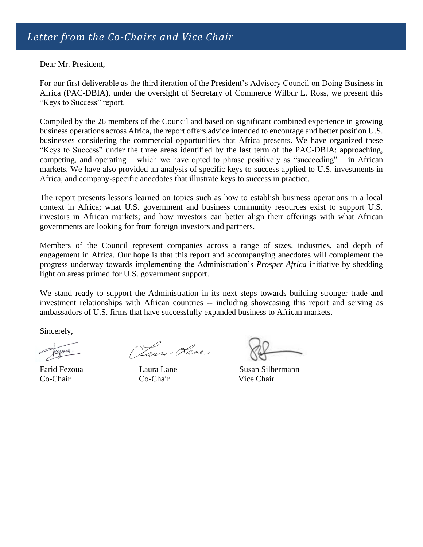Dear Mr. President,

For our first deliverable as the third iteration of the President's Advisory Council on Doing Business in Africa (PAC-DBIA), under the oversight of Secretary of Commerce Wilbur L. Ross, we present this "Keys to Success" report.

Compiled by the 26 members of the Council and based on significant combined experience in growing business operations across Africa, the report offers advice intended to encourage and better position U.S. businesses considering the commercial opportunities that Africa presents. We have organized these "Keys to Success" under the three areas identified by the last term of the PAC-DBIA: approaching, competing, and operating – which we have opted to phrase positively as "succeeding" – in African markets. We have also provided an analysis of specific keys to success applied to U.S. investments in Africa, and company-specific anecdotes that illustrate keys to success in practice.

The report presents lessons learned on topics such as how to establish business operations in a local context in Africa; what U.S. government and business community resources exist to support U.S. investors in African markets; and how investors can better align their offerings with what African governments are looking for from foreign investors and partners.

Members of the Council represent companies across a range of sizes, industries, and depth of engagement in Africa. Our hope is that this report and accompanying anecdotes will complement the progress underway towards implementing the Administration's *Prosper Africa* initiative by shedding light on areas primed for U.S. government support.

We stand ready to support the Administration in its next steps towards building stronger trade and investment relationships with African countries -- including showcasing this report and serving as ambassadors of U.S. firms that have successfully expanded business to African markets.

Sincerely,

Dauri Lare

Co-Chair Co-Chair Vice Chair

Farid Fezoua Laura Lane Susan Silbermann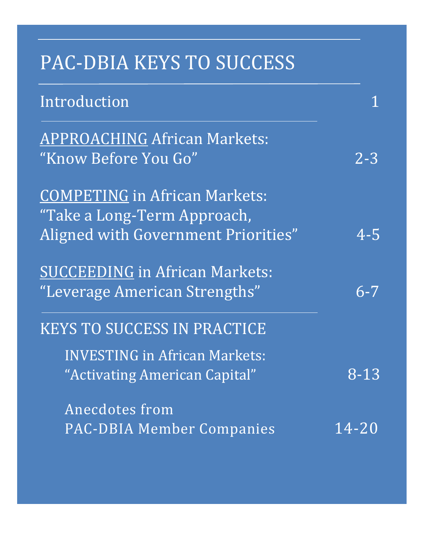## PAC-DBIA KEYS TO SUCCESS

| Introduction                          |           |  |
|---------------------------------------|-----------|--|
| <b>APPROACHING African Markets:</b>   |           |  |
| "Know Before You Go"                  | $2 - 3$   |  |
| <b>COMPETING in African Markets:</b>  |           |  |
| "Take a Long-Term Approach,           |           |  |
| Aligned with Government Priorities"   | $4 - 5$   |  |
| <b>SUCCEEDING in African Markets:</b> |           |  |
| "Leverage American Strengths"         | $6 - 7$   |  |
| <b>KEYS TO SUCCESS IN PRACTICE</b>    |           |  |
| <b>INVESTING in African Markets:</b>  |           |  |
| "Activating American Capital"         | $8 - 13$  |  |
| Anecdotes from                        |           |  |
| <b>PAC-DBIA Member Companies</b>      | $14 - 20$ |  |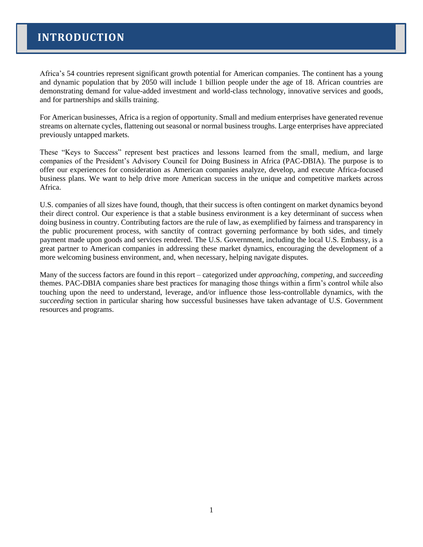Africa's 54 countries represent significant growth potential for American companies. The continent has a young and dynamic population that by 2050 will include 1 billion people under the age of 18. African countries are demonstrating demand for value-added investment and world-class technology, innovative services and goods, and for partnerships and skills training.

For American businesses, Africa is a region of opportunity. Small and medium enterprises have generated revenue streams on alternate cycles, flattening out seasonal or normal business troughs. Large enterprises have appreciated previously untapped markets.

These "Keys to Success" represent best practices and lessons learned from the small, medium, and large companies of the President's Advisory Council for Doing Business in Africa (PAC-DBIA). The purpose is to offer our experiences for consideration as American companies analyze, develop, and execute Africa-focused business plans. We want to help drive more American success in the unique and competitive markets across Africa.

U.S. companies of all sizes have found, though, that their success is often contingent on market dynamics beyond their direct control. Our experience is that a stable business environment is a key determinant of success when doing business in country. Contributing factors are the rule of law, as exemplified by fairness and transparency in the public procurement process, with sanctity of contract governing performance by both sides, and timely payment made upon goods and services rendered. The U.S. Government, including the local U.S. Embassy, is a great partner to American companies in addressing these market dynamics, encouraging the development of a more welcoming business environment, and, when necessary, helping navigate disputes.

Many of the success factors are found in this report – categorized under *approaching*, *competing*, and *succeeding* themes. PAC-DBIA companies share best practices for managing those things within a firm's control while also touching upon the need to understand, leverage, and/or influence those less-controllable dynamics, with the *succeeding* section in particular sharing how successful businesses have taken advantage of U.S. Government resources and programs.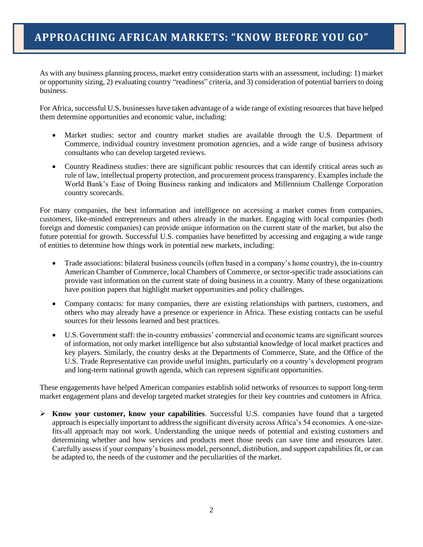As with any business planning process, market entry consideration starts with an assessment, including: 1) market or opportunity sizing, 2) evaluating country "readiness" criteria, and 3) consideration of potential barriers to doing business.

For Africa, successful U.S. businesses have taken advantage of a wide range of existing resources that have helped them determine opportunities and economic value, including:

- Market studies: sector and country market studies are available through the U.S. Department of Commerce, individual country investment promotion agencies, and a wide range of business advisory consultants who can develop targeted reviews.
- Country Readiness studies: there are significant public resources that can identify critical areas such as rule of law, intellectual property protection, and procurement process transparency. Examples include the World Bank's Ease of Doing Business ranking and indicators and Millennium Challenge Corporation country scorecards.

For many companies, the best information and intelligence on accessing a market comes from companies, customers, like-minded entrepreneurs and others already in the market. Engaging with local companies (both foreign and domestic companies) can provide unique information on the current state of the market, but also the future potential for growth. Successful U.S. companies have benefitted by accessing and engaging a wide range of entities to determine how things work in potential new markets, including:

- Trade associations: bilateral business councils (often based in a company's home country), the in-country American Chamber of Commerce, local Chambers of Commerce, or sector-specific trade associations can provide vast information on the current state of doing business in a country. Many of these organizations have position papers that highlight market opportunities and policy challenges.
- Company contacts: for many companies, there are existing relationships with partners, customers, and others who may already have a presence or experience in Africa. These existing contacts can be useful sources for their lessons learned and best practices.
- U.S. Government staff: the in-country embassies' commercial and economic teams are significant sources of information, not only market intelligence but also substantial knowledge of local market practices and key players. Similarly, the country desks at the Departments of Commerce, State, and the Office of the U.S. Trade Representative can provide useful insights, particularly on a country's development program and long-term national growth agenda, which can represent significant opportunities.

These engagements have helped American companies establish solid networks of resources to support long-term market engagement plans and develop targeted market strategies for their key countries and customers in Africa.

➢ **Know your customer, know your capabilities**. Successful U.S. companies have found that a targeted approach is especially important to address the significant diversity across Africa's 54 economies. A one-sizefits-all approach may not work. Understanding the unique needs of potential and existing customers and determining whether and how services and products meet those needs can save time and resources later. Carefully assess if your company's business model, personnel, distribution, and support capabilities fit, or can be adapted to, the needs of the customer and the peculiarities of the market.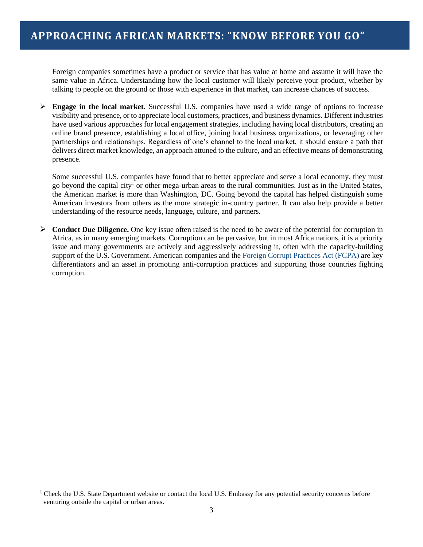Foreign companies sometimes have a product or service that has value at home and assume it will have the same value in Africa. Understanding how the local customer will likely perceive your product, whether by talking to people on the ground or those with experience in that market, can increase chances of success.

➢ **Engage in the local market.** Successful U.S. companies have used a wide range of options to increase visibility and presence, or to appreciate local customers, practices, and business dynamics. Different industries have used various approaches for local engagement strategies, including having local distributors, creating an online brand presence, establishing a local office, joining local business organizations, or leveraging other partnerships and relationships. Regardless of one's channel to the local market, it should ensure a path that delivers direct market knowledge, an approach attuned to the culture, and an effective means of demonstrating presence.

Some successful U.S. companies have found that to better appreciate and serve a local economy, they must go beyond the capital city<sup>1</sup> or other mega-urban areas to the rural communities. Just as in the United States, the American market is more than Washington, DC. Going beyond the capital has helped distinguish some American investors from others as the more strategic in-country partner. It can also help provide a better understanding of the resource needs, language, culture, and partners.

➢ **Conduct Due Diligence.** One key issue often raised is the need to be aware of the potential for corruption in Africa, as in many emerging markets. Corruption can be pervasive, but in most Africa nations, it is a priority issue and many governments are actively and aggressively addressing it, often with the capacity-building support of the U.S. Government. American companies and the [Foreign Corrupt Practices Act \(FCPA\)](https://www.justice.gov/criminal-fraud/foreign-corrupt-practices-act) are key differentiators and an asset in promoting anti-corruption practices and supporting those countries fighting corruption.

<sup>1</sup> Check the U.S. State Department website or contact the local U.S. Embassy for any potential security concerns before venturing outside the capital or urban areas.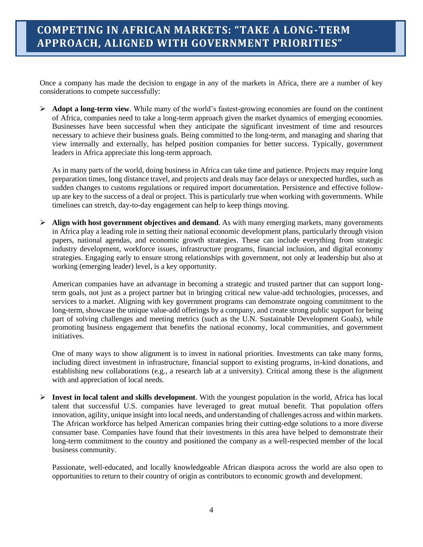Once a company has made the decision to engage in any of the markets in Africa, there are a number of key considerations to compete successfully:

➢ **Adopt a long-term view**. While many of the world's fastest-growing economies are found on the continent of Africa, companies need to take a long-term approach given the market dynamics of emerging economies. Businesses have been successful when they anticipate the significant investment of time and resources necessary to achieve their business goals. Being committed to the long-term, and managing and sharing that view internally and externally, has helped position companies for better success. Typically, government leaders in Africa appreciate this long-term approach.

As in many parts of the world, doing business in Africa can take time and patience. Projects may require long preparation times, long distance travel, and projects and deals may face delays or unexpected hurdles, such as sudden changes to customs regulations or required import documentation. Persistence and effective followup are key to the success of a deal or project. This is particularly true when working with governments. While timelines can stretch, day-to-day engagement can help to keep things moving.

➢ **Align with host government objectives and demand**. As with many emerging markets, many governments in Africa play a leading role in setting their national economic development plans, particularly through vision papers, national agendas, and economic growth strategies. These can include everything from strategic industry development, workforce issues, infrastructure programs, financial inclusion, and digital economy strategies. Engaging early to ensure strong relationships with government, not only at leadership but also at working (emerging leader) level, is a key opportunity.

American companies have an advantage in becoming a strategic and trusted partner that can support longterm goals, not just as a project partner but in bringing critical new value-add technologies, processes, and services to a market. Aligning with key government programs can demonstrate ongoing commitment to the long-term, showcase the unique value-add offerings by a company, and create strong public support for being part of solving challenges and meeting metrics (such as the U.N. Sustainable Development Goals), while promoting business engagement that benefits the national economy, local communities, and government initiatives.

One of many ways to show alignment is to invest in national priorities. Investments can take many forms, including direct investment in infrastructure, financial support to existing programs, in-kind donations, and establishing new collaborations (e.g., a research lab at a university). Critical among these is the alignment with and appreciation of local needs.

➢ **Invest in local talent and skills development**. With the youngest population in the world, Africa has local talent that successful U.S. companies have leveraged to great mutual benefit. That population offers innovation, agility, unique insight into local needs, and understanding of challenges across and within markets. The African workforce has helped American companies bring their cutting-edge solutions to a more diverse consumer base. Companies have found that their investments in this area have helped to demonstrate their long-term commitment to the country and positioned the company as a well-respected member of the local business community.

Passionate, well-educated, and locally knowledgeable African diaspora across the world are also open to opportunities to return to their country of origin as contributors to economic growth and development.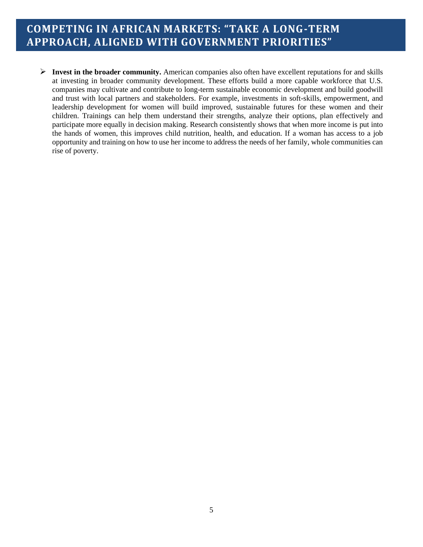## **COMPETING IN AFRICAN MARKETS: "TAKE A LONG-TERM APPROACH, ALIGNED WITH GOVERNMENT PRIORITIES"**

➢ **Invest in the broader community.** American companies also often have excellent reputations for and skills at investing in broader community development. These efforts build a more capable workforce that U.S. companies may cultivate and contribute to long-term sustainable economic development and build goodwill and trust with local partners and stakeholders. For example, investments in soft-skills, empowerment, and leadership development for women will build improved, sustainable futures for these women and their children. Trainings can help them understand their strengths, analyze their options, plan effectively and participate more equally in decision making. Research consistently shows that when more income is put into the hands of women, this improves child nutrition, health, and education. If a woman has access to a job opportunity and training on how to use her income to address the needs of her family, whole communities can rise of poverty.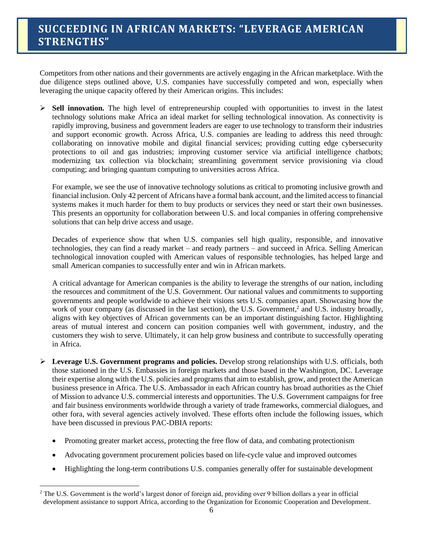Competitors from other nations and their governments are actively engaging in the African marketplace. With the due diligence steps outlined above, U.S. companies have successfully competed and won, especially when leveraging the unique capacity offered by their American origins. This includes:

➢ **Sell innovation.** The high level of entrepreneurship coupled with opportunities to invest in the latest technology solutions make Africa an ideal market for selling technological innovation. As connectivity is rapidly improving, business and government leaders are eager to use technology to transform their industries and support economic growth. Across Africa, U.S. companies are leading to address this need through: collaborating on innovative mobile and digital financial services; providing cutting edge cybersecurity protections to oil and gas industries; improving customer service via artificial intelligence chatbots; modernizing tax collection via blockchain; streamlining government service provisioning via cloud computing; and bringing quantum computing to universities across Africa.

For example, we see the use of innovative technology solutions as critical to promoting inclusive growth and financial inclusion. Only 42 percent of Africans have a formal bank account, and the limited access to financial systems makes it much harder for them to buy products or services they need or start their own businesses. This presents an opportunity for collaboration between U.S. and local companies in offering comprehensive solutions that can help drive access and usage.

Decades of experience show that when U.S. companies sell high quality, responsible, and innovative technologies, they can find a ready market – and ready partners – and succeed in Africa. Selling American technological innovation coupled with American values of responsible technologies, has helped large and small American companies to successfully enter and win in African markets.

A critical advantage for American companies is the ability to leverage the strengths of our nation, including the resources and commitment of the U.S. Government. Our national values and commitments to supporting governments and people worldwide to achieve their visions sets U.S. companies apart. Showcasing how the work of your company (as discussed in the last section), the U.S. Government,<sup>2</sup> and U.S. industry broadly, aligns with key objectives of African governments can be an important distinguishing factor. Highlighting areas of mutual interest and concern can position companies well with government, industry, and the customers they wish to serve. Ultimately, it can help grow business and contribute to successfully operating in Africa.

- ➢ **Leverage U.S. Government programs and policies.** Develop strong relationships with U.S. officials, both those stationed in the U.S. Embassies in foreign markets and those based in the Washington, DC. Leverage their expertise along with the U.S. policies and programs that aim to establish, grow, and protect the American business presence in Africa. The U.S. Ambassador in each African country has broad authorities as the Chief of Mission to advance U.S. commercial interests and opportunities. The U.S. Government campaigns for free and fair business environments worldwide through a variety of trade frameworks, commercial dialogues, and other fora, with several agencies actively involved. These efforts often include the following issues, which have been discussed in previous PAC-DBIA reports:
	- Promoting greater market access, protecting the free flow of data, and combating protectionism
	- Advocating government procurement policies based on life-cycle value and improved outcomes
	- Highlighting the long-term contributions U.S. companies generally offer for sustainable development

<sup>&</sup>lt;sup>2</sup> The U.S. Government is the world's largest donor of foreign aid, providing over 9 billion dollars a year in official development assistance to support Africa, according to the Organization for Economic Cooperation and Development.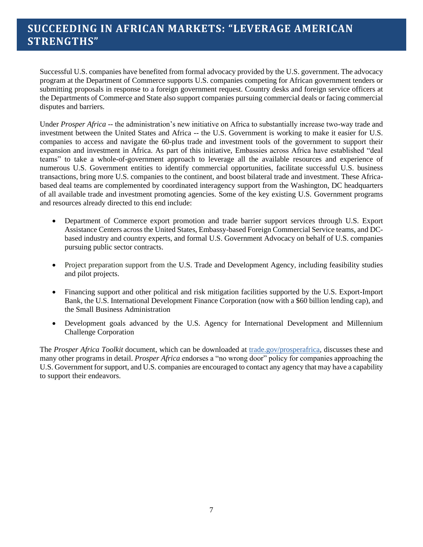## **SUCCEEDING IN AFRICAN MARKETS: "LEVERAGE AMERICAN STRENGTHS"**

Successful U.S. companies have benefited from formal advocacy provided by the U.S. government. The advocacy program at the Department of Commerce supports U.S. companies competing for African government tenders or submitting proposals in response to a foreign government request. Country desks and foreign service officers at the Departments of Commerce and State also support companies pursuing commercial deals or facing commercial disputes and barriers.

Under *Prosper Africa* -- the administration's new initiative on Africa to substantially increase two-way trade and investment between the United States and Africa -- the U.S. Government is working to make it easier for U.S. companies to access and navigate the 60-plus trade and investment tools of the government to support their expansion and investment in Africa. As part of this initiative, Embassies across Africa have established "deal teams" to take a whole-of-government approach to leverage all the available resources and experience of numerous U.S. Government entities to identify commercial opportunities, facilitate successful U.S. business transactions, bring more U.S. companies to the continent, and boost bilateral trade and investment. These Africabased deal teams are complemented by coordinated interagency support from the Washington, DC headquarters of all available trade and investment promoting agencies. Some of the key existing U.S. Government programs and resources already directed to this end include:

- Department of Commerce export promotion and trade barrier support services through U.S. Export Assistance Centers across the United States, Embassy-based Foreign Commercial Service teams, and DCbased industry and country experts, and formal U.S. Government Advocacy on behalf of U.S. companies pursuing public sector contracts.
- Project preparation support from the U.S. Trade and Development Agency, including feasibility studies and pilot projects.
- Financing support and other political and risk mitigation facilities supported by the U.S. Export-Import Bank, the U.S. International Development Finance Corporation (now with a \$60 billion lending cap), and the Small Business Administration
- Development goals advanced by the U.S. Agency for International Development and Millennium Challenge Corporation

The *Prosper Africa Toolkit* document, which can be downloaded at trade.gov/prosperafrica, discusses these and many other programs in detail. *Prosper Africa* endorses a "no wrong door" policy for companies approaching the U.S. Government for support, and U.S. companies are encouraged to contact any agency that may have a capability to support their endeavors.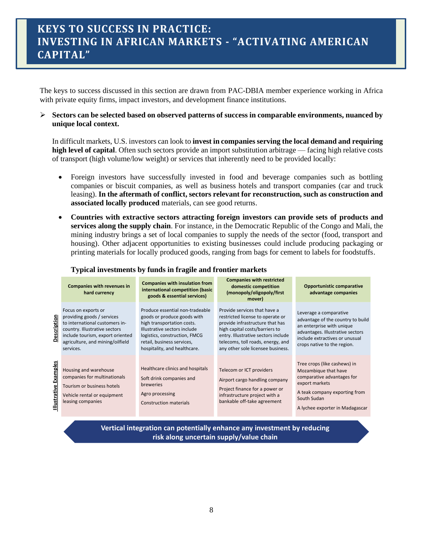The keys to success discussed in this section are drawn from PAC-DBIA member experience working in Africa with private equity firms, impact investors, and development finance institutions.

➢ **Sectors can be selected based on observed patterns of success in comparable environments, nuanced by unique local context.**

In difficult markets, U.S. investors can look to **invest in companies serving the local demand and requiring high level of capital**. Often such sectors provide an import substitution arbitrage — facing high relative costs of transport (high volume/low weight) or services that inherently need to be provided locally:

- Foreign investors have successfully invested in food and beverage companies such as bottling companies or biscuit companies, as well as business hotels and transport companies (car and truck leasing). **In the aftermath of conflict, sectors relevant for reconstruction, such as construction and associated locally produced** materials, can see good returns.
- **Countries with extractive sectors attracting foreign investors can provide sets of products and services along the supply chain**. For instance, in the Democratic Republic of the Congo and Mali, the mining industry brings a set of local companies to supply the needs of the sector (food, transport and housing). Other adjacent opportunities to existing businesses could include producing packaging or printing materials for locally produced goods, ranging from bags for cement to labels for foodstuffs.

#### **Typical investments by funds in fragile and frontier markets**

|                    | <b>Companies with revenues in</b><br>hard currency                                                                                                                                                        | <b>Companies with insulation from</b><br>international competition (basic<br>goods & essential services)                                                                                                                    | <b>Companies with restricted</b><br>domestic competition<br>(monopoly/oligopoly/first<br>mover)                                                                                                                                                        | <b>Opportunistic comparative</b><br>advantage companies                                                                                                                                       |
|--------------------|-----------------------------------------------------------------------------------------------------------------------------------------------------------------------------------------------------------|-----------------------------------------------------------------------------------------------------------------------------------------------------------------------------------------------------------------------------|--------------------------------------------------------------------------------------------------------------------------------------------------------------------------------------------------------------------------------------------------------|-----------------------------------------------------------------------------------------------------------------------------------------------------------------------------------------------|
| <b>Description</b> | Focus on exports or<br>providing goods / services<br>to international customers in-<br>country. Illustrative sectors<br>include tourism, export oriented<br>agriculture, and mining/oilfield<br>services. | Produce essential non-tradeable<br>goods or produce goods with<br>high transportation costs.<br>Illustrative sectors include<br>logistics, construction, FMCG<br>retail, business services,<br>hospitality, and healthcare. | Provide services that have a<br>restricted license to operate or<br>provide infrastructure that has<br>high capital costs/barriers to<br>entry. Illustrative sectors include<br>telecoms, toll roads, energy, and<br>any other sole licensee business. | Leverage a comparative<br>advantage of the country to build<br>an enterprise with unique<br>advantages. Illustrative sectors<br>include extractives or unusual<br>crops native to the region. |
| ustrative Examples | Housing and warehouse<br>companies for multinationals<br>Tourism or business hotels<br>Vehicle rental or equipment<br>leasing companies                                                                   | Healthcare clinics and hospitals<br>Soft drink companies and<br>breweries<br>Agro processing<br><b>Construction materials</b>                                                                                               | Telecom or ICT providers<br>Airport cargo handling company<br>Project finance for a power or<br>infrastructure project with a<br>bankable off-take agreement                                                                                           | Tree crops (like cashews) in<br>Mozambique that have<br>comparative advantages for<br>export markets<br>A teak company exporting from<br>South Sudan<br>A lychee exporter in Madagascar       |

**Vertical integration can potentially enhance any investment by reducing risk along uncertain supply/value chain**

8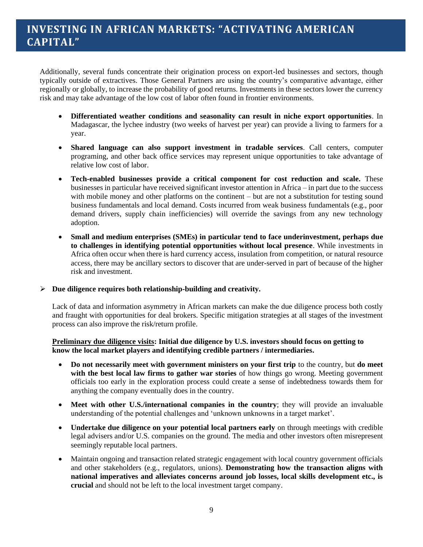Additionally, several funds concentrate their origination process on export-led businesses and sectors, though typically outside of extractives. Those General Partners are using the country's comparative advantage, either regionally or globally, to increase the probability of good returns. Investments in these sectors lower the currency risk and may take advantage of the low cost of labor often found in frontier environments.

- **Differentiated weather conditions and seasonality can result in niche export opportunities**. In Madagascar, the lychee industry (two weeks of harvest per year) can provide a living to farmers for a year.
- **Shared language can also support investment in tradable services**. Call centers, computer programing, and other back office services may represent unique opportunities to take advantage of relative low cost of labor.
- **Tech-enabled businesses provide a critical component for cost reduction and scale.** These businesses in particular have received significant investor attention in Africa – in part due to the success with mobile money and other platforms on the continent – but are not a substitution for testing sound business fundamentals and local demand. Costs incurred from weak business fundamentals (e.g., poor demand drivers, supply chain inefficiencies) will override the savings from any new technology adoption.
- **Small and medium enterprises (SMEs) in particular tend to face underinvestment, perhaps due to challenges in identifying potential opportunities without local presence**. While investments in Africa often occur when there is hard currency access, insulation from competition, or natural resource access, there may be ancillary sectors to discover that are under-served in part of because of the higher risk and investment.
- ➢ **Due diligence requires both relationship-building and creativity.**

Lack of data and information asymmetry in African markets can make the due diligence process both costly and fraught with opportunities for deal brokers. Specific mitigation strategies at all stages of the investment process can also improve the risk/return profile.

#### **Preliminary due diligence visits: Initial due diligence by U.S. investors should focus on getting to know the local market players and identifying credible partners / intermediaries.**

- **Do not necessarily meet with government ministers on your first trip** to the country, but **do meet**  with the best local law firms to gather war stories of how things go wrong. Meeting government officials too early in the exploration process could create a sense of indebtedness towards them for anything the company eventually does in the country.
- Meet with other U.S./international companies in the country; they will provide an invaluable understanding of the potential challenges and 'unknown unknowns in a target market'.
- **Undertake due diligence on your potential local partners early** on through meetings with credible legal advisers and/or U.S. companies on the ground. The media and other investors often misrepresent seemingly reputable local partners.
- Maintain ongoing and transaction related strategic engagement with local country government officials and other stakeholders (e.g., regulators, unions). **Demonstrating how the transaction aligns with national imperatives and alleviates concerns around job losses, local skills development etc., is crucial** and should not be left to the local investment target company.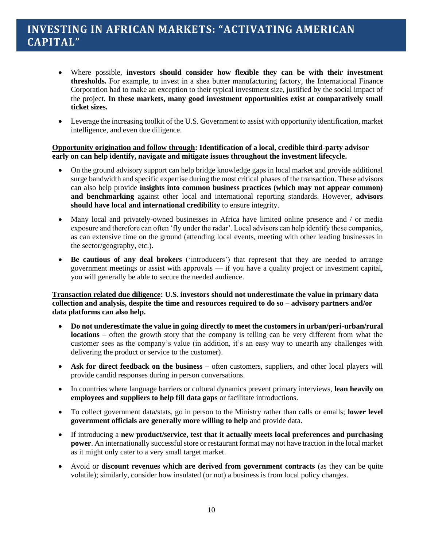- Where possible, **investors should consider how flexible they can be with their investment thresholds.** For example, to invest in a shea butter manufacturing factory, the International Finance Corporation had to make an exception to their typical investment size, justified by the social impact of the project. **In these markets, many good investment opportunities exist at comparatively small ticket sizes.**
- Leverage the increasing toolkit of the U.S. Government to assist with opportunity identification, market intelligence, and even due diligence.

#### **Opportunity origination and follow through: Identification of a local, credible third-party advisor early on can help identify, navigate and mitigate issues throughout the investment lifecycle.**

- On the ground advisory support can help bridge knowledge gaps in local market and provide additional surge bandwidth and specific expertise during the most critical phases of the transaction. These advisors can also help provide **insights into common business practices (which may not appear common) and benchmarking** against other local and international reporting standards. However, **advisors should have local and international credibility** to ensure integrity.
- Many local and privately-owned businesses in Africa have limited online presence and / or media exposure and therefore can often 'fly under the radar'. Local advisors can help identify these companies, as can extensive time on the ground (attending local events, meeting with other leading businesses in the sector/geography, etc.).
- **Be cautious of any deal brokers** ('introducers') that represent that they are needed to arrange government meetings or assist with approvals  $-$  if you have a quality project or investment capital, you will generally be able to secure the needed audience.

**Transaction related due diligence: U.S. investors should not underestimate the value in primary data collection and analysis, despite the time and resources required to do so – advisory partners and/or data platforms can also help.**

- **Do not underestimate the value in going directly to meet the customers in urban/peri-urban/rural locations** – often the growth story that the company is telling can be very different from what the customer sees as the company's value (in addition, it's an easy way to unearth any challenges with delivering the product or service to the customer).
- **Ask for direct feedback on the business** often customers, suppliers, and other local players will provide candid responses during in person conversations.
- In countries where language barriers or cultural dynamics prevent primary interviews, **lean heavily on employees and suppliers to help fill data gaps** or facilitate introductions.
- To collect government data/stats, go in person to the Ministry rather than calls or emails; **lower level government officials are generally more willing to help** and provide data.
- If introducing a **new product/service, test that it actually meets local preferences and purchasing power**. An internationally successful store or restaurant format may not have traction in the local market as it might only cater to a very small target market.
- Avoid or **discount revenues which are derived from government contracts** (as they can be quite volatile); similarly, consider how insulated (or not) a business is from local policy changes.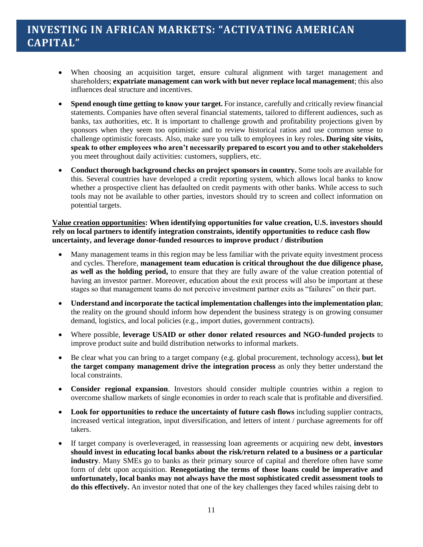- When choosing an acquisition target, ensure cultural alignment with target management and shareholders; **expatriate management can work with but never replace local management**; this also influences deal structure and incentives.
- **Spend enough time getting to know your target.** For instance, carefully and critically review financial statements. Companies have often several financial statements, tailored to different audiences, such as banks, tax authorities, etc. It is important to challenge growth and profitability projections given by sponsors when they seem too optimistic and to review historical ratios and use common sense to challenge optimistic forecasts. Also, make sure you talk to employees in key roles**. During site visits, speak to other employees who aren't necessarily prepared to escort you and to other stakeholders** you meet throughout daily activities: customers, suppliers, etc.
- **Conduct thorough background checks on project sponsors in country.** Some tools are available for this. Several countries have developed a credit reporting system, which allows local banks to know whether a prospective client has defaulted on credit payments with other banks. While access to such tools may not be available to other parties, investors should try to screen and collect information on potential targets.

**Value creation opportunities: When identifying opportunities for value creation, U.S. investors should rely on local partners to identify integration constraints, identify opportunities to reduce cash flow uncertainty, and leverage donor-funded resources to improve product / distribution** 

- Many management teams in this region may be less familiar with the private equity investment process and cycles. Therefore, **management team education is critical throughout the due diligence phase, as well as the holding period,** to ensure that they are fully aware of the value creation potential of having an investor partner. Moreover, education about the exit process will also be important at these stages so that management teams do not perceive investment partner exits as "failures" on their part.
- **Understand and incorporate the tactical implementation challenges into the implementation plan**; the reality on the ground should inform how dependent the business strategy is on growing consumer demand, logistics, and local policies (e.g., import duties, government contracts).
- Where possible, **leverage USAID or other donor related resources and NGO-funded projects** to improve product suite and build distribution networks to informal markets.
- Be clear what you can bring to a target company (e.g. global procurement, technology access), **but let the target company management drive the integration process** as only they better understand the local constraints.
- **Consider regional expansion**. Investors should consider multiple countries within a region to overcome shallow markets of single economies in order to reach scale that is profitable and diversified.
- **Look for opportunities to reduce the uncertainty of future cash flows** including supplier contracts, increased vertical integration, input diversification, and letters of intent / purchase agreements for off takers.
- If target company is overleveraged, in reassessing loan agreements or acquiring new debt, **investors should invest in educating local banks about the risk/return related to a business or a particular industry**. Many SMEs go to banks as their primary source of capital and therefore often have some form of debt upon acquisition. **Renegotiating the terms of those loans could be imperative and unfortunately, local banks may not always have the most sophisticated credit assessment tools to do this effectively.** An investor noted that one of the key challenges they faced whiles raising debt to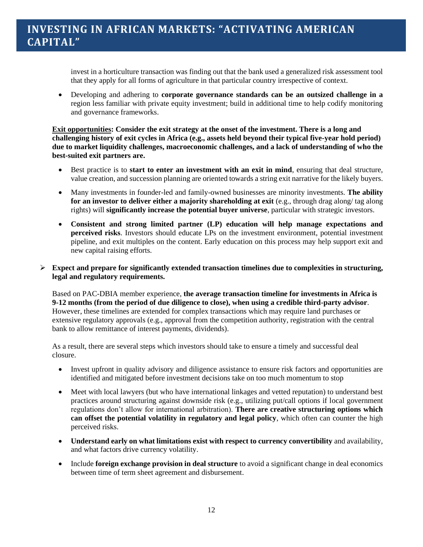invest in a horticulture transaction was finding out that the bank used a generalized risk assessment tool that they apply for all forms of agriculture in that particular country irrespective of context.

• Developing and adhering to **corporate governance standards can be an outsized challenge in a** region less familiar with private equity investment; build in additional time to help codify monitoring and governance frameworks.

**Exit opportunities: Consider the exit strategy at the onset of the investment. There is a long and challenging history of exit cycles in Africa (e.g., assets held beyond their typical five-year hold period) due to market liquidity challenges, macroeconomic challenges, and a lack of understanding of who the best-suited exit partners are.**

- Best practice is to **start to enter an investment with an exit in mind**, ensuring that deal structure, value creation, and succession planning are oriented towards a string exit narrative for the likely buyers.
- Many investments in founder-led and family-owned businesses are minority investments. **The ability for an investor to deliver either a majority shareholding at exit** (e.g., through drag along/ tag along rights) will **significantly increase the potential buyer universe**, particular with strategic investors.
- **Consistent and strong limited partner (LP) education will help manage expectations and perceived risks**. Investors should educate LPs on the investment environment, potential investment pipeline, and exit multiples on the content. Early education on this process may help support exit and new capital raising efforts.

#### ➢ **Expect and prepare for significantly extended transaction timelines due to complexities in structuring, legal and regulatory requirements.**

Based on PAC-DBIA member experience, **the average transaction timeline for investments in Africa is 9-12 months (from the period of due diligence to close), when using a credible third-party advisor**. However, these timelines are extended for complex transactions which may require land purchases or extensive regulatory approvals (e.g., approval from the competition authority, registration with the central bank to allow remittance of interest payments, dividends).

As a result, there are several steps which investors should take to ensure a timely and successful deal closure.

- Invest upfront in quality advisory and diligence assistance to ensure risk factors and opportunities are identified and mitigated before investment decisions take on too much momentum to stop
- Meet with local lawyers (but who have international linkages and vetted reputation) to understand best practices around structuring against downside risk (e.g., utilizing put/call options if local government regulations don't allow for international arbitration). **There are creative structuring options which can offset the potential volatility in regulatory and legal policy**, which often can counter the high perceived risks.
- **Understand early on what limitations exist with respect to currency convertibility** and availability, and what factors drive currency volatility.
- Include **foreign exchange provision in deal structure** to avoid a significant change in deal economics between time of term sheet agreement and disbursement.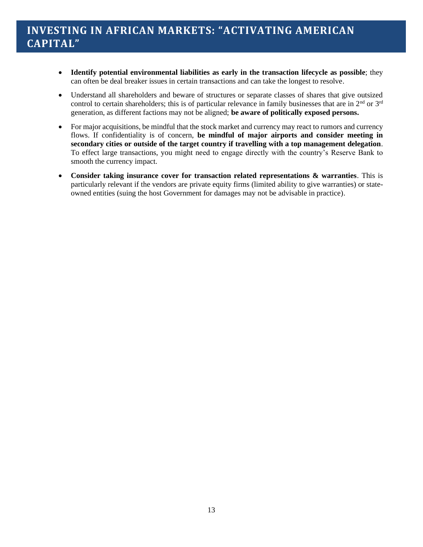- **Identify potential environmental liabilities as early in the transaction lifecycle as possible**; they can often be deal breaker issues in certain transactions and can take the longest to resolve.
- Understand all shareholders and beware of structures or separate classes of shares that give outsized control to certain shareholders; this is of particular relevance in family businesses that are in  $2<sup>nd</sup>$  or  $3<sup>rd</sup>$ generation, as different factions may not be aligned; **be aware of politically exposed persons.**
- For major acquisitions, be mindful that the stock market and currency may react to rumors and currency flows. If confidentiality is of concern, **be mindful of major airports and consider meeting in secondary cities or outside of the target country if travelling with a top management delegation**. To effect large transactions, you might need to engage directly with the country's Reserve Bank to smooth the currency impact.
- **Consider taking insurance cover for transaction related representations & warranties**. This is particularly relevant if the vendors are private equity firms (limited ability to give warranties) or stateowned entities (suing the host Government for damages may not be advisable in practice).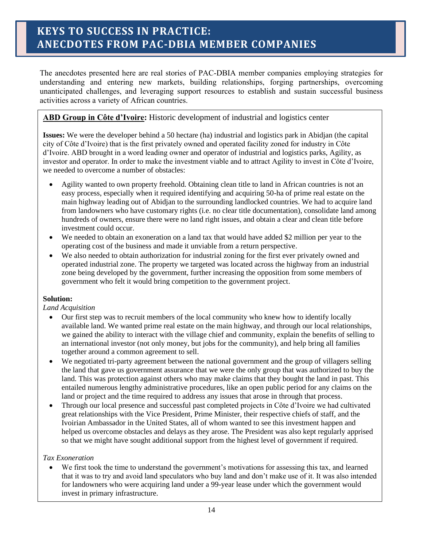The anecdotes presented here are real stories of PAC-DBIA member companies employing strategies for understanding and entering new markets, building relationships, forging partnerships, overcoming unanticipated challenges, and leveraging support resources to establish and sustain successful business activities across a variety of African countries.

## **ABD Group in Côte d'Ivoire:** Historic development of industrial and logistics center

**Issues:** We were the developer behind a 50 hectare (ha) industrial and logistics park in Abidjan (the capital city of Côte d'Ivoire) that is the first privately owned and operated facility zoned for industry in Côte d'Ivoire. ABD brought in a word leading owner and operator of industrial and logistics parks, Agility, as investor and operator. In order to make the investment viable and to attract Agility to invest in Côte d'Ivoire, we needed to overcome a number of obstacles:

- Agility wanted to own property freehold. Obtaining clean title to land in African countries is not an easy process, especially when it required identifying and acquiring 50-ha of prime real estate on the main highway leading out of Abidjan to the surrounding landlocked countries. We had to acquire land from landowners who have customary rights (i.e. no clear title documentation), consolidate land among hundreds of owners, ensure there were no land right issues, and obtain a clear and clean title before investment could occur.
- We needed to obtain an exoneration on a land tax that would have added \$2 million per year to the operating cost of the business and made it unviable from a return perspective.
- We also needed to obtain authorization for industrial zoning for the first ever privately owned and operated industrial zone. The property we targeted was located across the highway from an industrial zone being developed by the government, further increasing the opposition from some members of government who felt it would bring competition to the government project.

### **Solution:**

*Land Acquisition* 

- Our first step was to recruit members of the local community who knew how to identify locally available land. We wanted prime real estate on the main highway, and through our local relationships, we gained the ability to interact with the village chief and community, explain the benefits of selling to an international investor (not only money, but jobs for the community), and help bring all families together around a common agreement to sell.
- We negotiated tri-party agreement between the national government and the group of villagers selling the land that gave us government assurance that we were the only group that was authorized to buy the land. This was protection against others who may make claims that they bought the land in past. This entailed numerous lengthy administrative procedures, like an open public period for any claims on the land or project and the time required to address any issues that arose in through that process.
- Through our local presence and successful past completed projects in Côte d'Ivoire we had cultivated great relationships with the Vice President, Prime Minister, their respective chiefs of staff, and the Ivoirian Ambassador in the United States, all of whom wanted to see this investment happen and helped us overcome obstacles and delays as they arose. The President was also kept regularly apprised so that we might have sought additional support from the highest level of government if required.

### *Tax Exoneration*

We first took the time to understand the government's motivations for assessing this tax, and learned that it was to try and avoid land speculators who buy land and don't make use of it. It was also intended for landowners who were acquiring land under a 99-year lease under which the government would invest in primary infrastructure.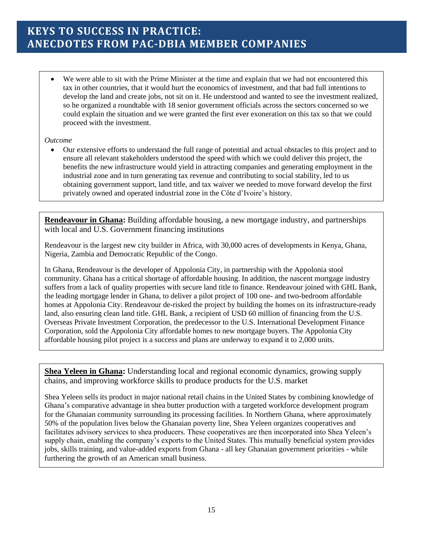We were able to sit with the Prime Minister at the time and explain that we had not encountered this tax in other countries, that it would hurt the economics of investment, and that had full intentions to develop the land and create jobs, not sit on it. He understood and wanted to see the investment realized, so he organized a roundtable with 18 senior government officials across the sectors concerned so we could explain the situation and we were granted the first ever exoneration on this tax so that we could proceed with the investment.

#### *Outcome*

• Our extensive efforts to understand the full range of potential and actual obstacles to this project and to ensure all relevant stakeholders understood the speed with which we could deliver this project, the benefits the new infrastructure would yield in attracting companies and generating employment in the industrial zone and in turn generating tax revenue and contributing to social stability, led to us obtaining government support, land title, and tax waiver we needed to move forward develop the first privately owned and operated industrial zone in the Côte d'Ivoire's history.

**Rendeavour in Ghana:** Building affordable housing, a new mortgage industry, and partnerships with local and U.S. Government financing institutions

Rendeavour is the largest new city builder in Africa, with 30,000 acres of developments in Kenya, Ghana, Nigeria, Zambia and Democratic Republic of the Congo.

In Ghana, Rendeavour is the developer of Appolonia City, in partnership with the Appolonia stool community. Ghana has a critical shortage of affordable housing. In addition, the nascent mortgage industry suffers from a lack of quality properties with secure land title to finance. Rendeavour joined with GHL Bank, the leading mortgage lender in Ghana, to deliver a pilot project of 100 one- and two-bedroom affordable homes at Appolonia City. Rendeavour de-risked the project by building the homes on its infrastructure-ready land, also ensuring clean land title. GHL Bank, a recipient of USD 60 million of financing from the U.S. Overseas Private Investment Corporation, the predecessor to the U.S. International Development Finance Corporation, sold the Appolonia City affordable homes to new mortgage buyers. The Appolonia City affordable housing pilot project is a success and plans are underway to expand it to 2,000 units.

**Shea Yeleen in Ghana:** Understanding local and regional economic dynamics, growing supply chains, and improving workforce skills to produce products for the U.S. market

Shea Yeleen sells its product in major national retail chains in the United States by combining knowledge of Ghana's comparative advantage in shea butter production with a targeted workforce development program for the Ghanaian community surrounding its processing facilities. In Northern Ghana, where approximately 50% of the population lives below the Ghanaian poverty line, Shea Yeleen organizes cooperatives and facilitates advisory services to shea producers. These cooperatives are then incorporated into Shea Yeleen's supply chain, enabling the company's exports to the United States. This mutually beneficial system provides jobs, skills training, and value-added exports from Ghana - all key Ghanaian government priorities - while furthering the growth of an American small business.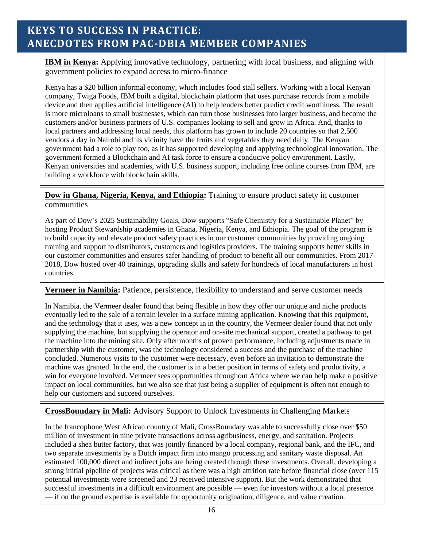**IBM in Kenya:** Applying innovative technology, partnering with local business, and aligning with government policies to expand access to micro-finance

Kenya has a \$20 billion informal economy, which includes food stall sellers. Working with a local Kenyan company, Twiga Foods, IBM built a digital, blockchain platform that uses purchase records from a mobile device and then applies artificial intelligence (AI) to help lenders better predict credit worthiness. The result is more microloans to small businesses, which can turn those businesses into larger business, and become the customers and/or business partners of U.S. companies looking to sell and grow in Africa. And, thanks to local partners and addressing local needs, this platform has grown to include 20 countries so that 2,500 vendors a day in Nairobi and its vicinity have the fruits and vegetables they need daily. The Kenyan government had a role to play too, as it has supported developing and applying technological innovation. The government formed a Blockchain and AI task force to ensure a conducive policy environment. Lastly, Kenyan universities and academies, with U.S. business support, including free online courses from IBM, are building a workforce with blockchain skills.

## **Dow in Ghana, Nigeria, Kenya, and Ethiopia:** Training to ensure product safety in customer communities

As part of Dow's 2025 Sustainability Goals, Dow supports "Safe Chemistry for a Sustainable Planet" by hosting Product Stewardship academies in Ghana, Nigeria, Kenya, and Ethiopia. The goal of the program is to build capacity and elevate product safety practices in our customer communities by providing ongoing training and support to distributors, customers and logistics providers. The training supports better skills in our customer communities and ensures safer handling of product to benefit all our communities. From 2017- 2018, Dow hosted over 40 trainings, upgrading skills and safety for hundreds of local manufacturers in host countries.

## **Vermeer in Namibia:** Patience, persistence, flexibility to understand and serve customer needs

In Namibia, the Vermeer dealer found that being flexible in how they offer our unique and niche products eventually led to the sale of a terrain leveler in a surface mining application. Knowing that this equipment, and the technology that it uses, was a new concept in in the country, the Vermeer dealer found that not only supplying the machine, but supplying the operator and on-site mechanical support, created a pathway to get the machine into the mining site. Only after months of proven performance, including adjustments made in partnership with the customer, was the technology considered a success and the purchase of the machine concluded. Numerous visits to the customer were necessary, even before an invitation to demonstrate the machine was granted. In the end, the customer is in a better position in terms of safety and productivity, a win for everyone involved. Vermeer sees opportunities throughout Africa where we can help make a positive impact on local communities, but we also see that just being a supplier of equipment is often not enough to help our customers and succeed ourselves.

## **CrossBoundary in Mali:** Advisory Support to Unlock Investments in Challenging Markets

In the francophone West African country of Mali, CrossBoundary was able to successfully close over \$50 million of investment in nine private transactions across agribusiness, energy, and sanitation. Projects included a shea butter factory, that was jointly financed by a local company, regional bank, and the IFC, and two separate investments by a Dutch impact firm into mango processing and sanitary waste disposal. An estimated 100,000 direct and indirect jobs are being created through these investments. Overall, developing a strong initial pipeline of projects was critical as there was a high attrition rate before financial close (over 115 potential investments were screened and 23 received intensive support). But the work demonstrated that successful investments in a difficult environment are possible — even for investors without a local presence — if on the ground expertise is available for opportunity origination, diligence, and value creation.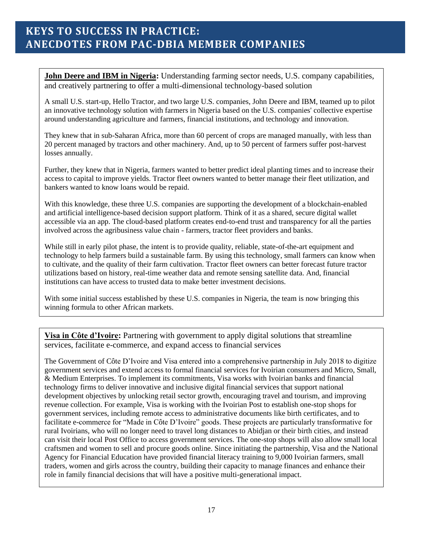**John Deere and IBM in Nigeria:** Understanding farming sector needs, U.S. company capabilities, and creatively partnering to offer a multi-dimensional technology-based solution

A small U.S. start-up, Hello Tractor, and two large U.S. companies, John Deere and IBM, teamed up to pilot an innovative technology solution with farmers in Nigeria based on the U.S. companies' collective expertise around understanding agriculture and farmers, financial institutions, and technology and innovation.

They knew that in sub-Saharan Africa, more than 60 percent of crops are managed manually, with less than 20 percent managed by tractors and other machinery. And, up to 50 percent of farmers suffer post-harvest losses annually.

Further, they knew that in Nigeria, farmers wanted to better predict ideal planting times and to increase their access to capital to improve yields. Tractor fleet owners wanted to better manage their fleet utilization, and bankers wanted to know loans would be repaid.

With this knowledge, these three U.S. companies are supporting the development of a blockchain-enabled and artificial intelligence-based decision support platform. Think of it as a shared, secure digital wallet accessible via an app. The cloud-based platform creates end-to-end trust and transparency for all the parties involved across the agribusiness value chain - farmers, tractor fleet providers and banks.

While still in early pilot phase, the intent is to provide quality, reliable, state-of-the-art equipment and technology to help farmers build a sustainable farm. By using this technology, small farmers can know when to cultivate, and the quality of their farm cultivation. Tractor fleet owners can better forecast future tractor utilizations based on history, real-time weather data and remote sensing satellite data. And, financial institutions can have access to trusted data to make better investment decisions.

With some initial success established by these U.S. companies in Nigeria, the team is now bringing this winning formula to other African markets.

Visa in Côte d'Ivoire: Partnering with government to apply digital solutions that streamline services, facilitate e-commerce, and expand access to financial services

The Government of Côte D'Ivoire and Visa entered into a comprehensive partnership in July 2018 to digitize government services and extend access to formal financial services for Ivoirian consumers and Micro, Small, & Medium Enterprises. To implement its commitments, Visa works with Ivoirian banks and financial technology firms to deliver innovative and inclusive digital financial services that support national development objectives by unlocking retail sector growth, encouraging travel and tourism, and improving revenue collection. For example, Visa is working with the Ivoirian Post to establish one-stop shops for government services, including remote access to administrative documents like birth certificates, and to facilitate e-commerce for "Made in Côte D'Ivoire" goods. These projects are particularly transformative for rural Ivoirians, who will no longer need to travel long distances to Abidjan or their birth cities, and instead can visit their local Post Office to access government services. The one-stop shops will also allow small local craftsmen and women to sell and procure goods online. Since initiating the partnership, Visa and the National Agency for Financial Education have provided financial literacy training to 9,000 Ivoirian farmers, small traders, women and girls across the country, building their capacity to manage finances and enhance their role in family financial decisions that will have a positive multi-generational impact.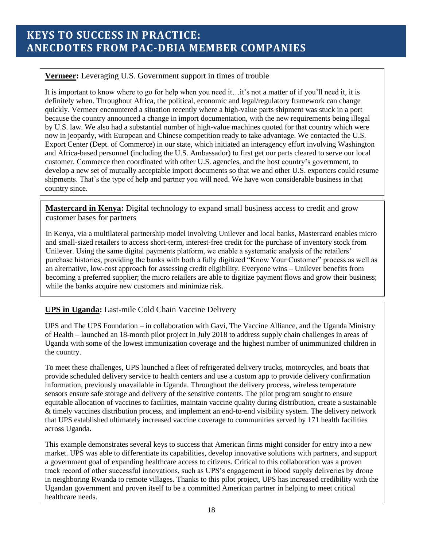**Vermeer:** Leveraging U.S. Government support in times of trouble

It is important to know where to go for help when you need it…it's not a matter of if you'll need it, it is definitely when. Throughout Africa, the political, economic and legal/regulatory framework can change quickly. Vermeer encountered a situation recently where a high-value parts shipment was stuck in a port because the country announced a change in import documentation, with the new requirements being illegal by U.S. law. We also had a substantial number of high-value machines quoted for that country which were now in jeopardy, with European and Chinese competition ready to take advantage. We contacted the U.S. Export Center (Dept. of Commerce) in our state, which initiated an interagency effort involving Washington and Africa-based personnel (including the U.S. Ambassador) to first get our parts cleared to serve our local customer. Commerce then coordinated with other U.S. agencies, and the host country's government, to develop a new set of mutually acceptable import documents so that we and other U.S. exporters could resume shipments. That's the type of help and partner you will need. We have won considerable business in that country since.

**Mastercard in Kenya:** Digital technology to expand small business access to credit and grow customer bases for partners

In Kenya, via a multilateral partnership model involving Unilever and local banks, Mastercard enables micro and small-sized retailers to access short-term, interest-free credit for the purchase of inventory stock from Unilever. Using the same digital payments platform, we enable a systematic analysis of the retailers' purchase histories, providing the banks with both a fully digitized "Know Your Customer" process as well as an alternative, low-cost approach for assessing credit eligibility. Everyone wins – Unilever benefits from becoming a preferred supplier; the micro retailers are able to digitize payment flows and grow their business; while the banks acquire new customers and minimize risk.

## **UPS in Uganda:** Last-mile Cold Chain Vaccine Delivery

UPS and The UPS Foundation – in collaboration with Gavi, The Vaccine Alliance, and the Uganda Ministry of Health – launched an 18-month pilot project in July 2018 to address supply chain challenges in areas of Uganda with some of the lowest immunization coverage and the highest number of unimmunized children in the country.

To meet these challenges, UPS launched a fleet of refrigerated delivery trucks, motorcycles, and boats that provide scheduled delivery service to health centers and use a custom app to provide delivery confirmation information, previously unavailable in Uganda. Throughout the delivery process, wireless temperature sensors ensure safe storage and delivery of the sensitive contents. The pilot program sought to ensure equitable allocation of vaccines to facilities, maintain vaccine quality during distribution, create a sustainable & timely vaccines distribution process, and implement an end-to-end visibility system. The delivery network that UPS established ultimately increased vaccine coverage to communities served by 171 health facilities across Uganda.

This example demonstrates several keys to success that American firms might consider for entry into a new market. UPS was able to differentiate its capabilities, develop innovative solutions with partners, and support a government goal of expanding healthcare access to citizens. Critical to this collaboration was a proven track record of other successful innovations, such as UPS's engagement in blood supply deliveries by drone in neighboring Rwanda to remote villages. Thanks to this pilot project, UPS has increased credibility with the Ugandan government and proven itself to be a committed American partner in helping to meet critical healthcare needs.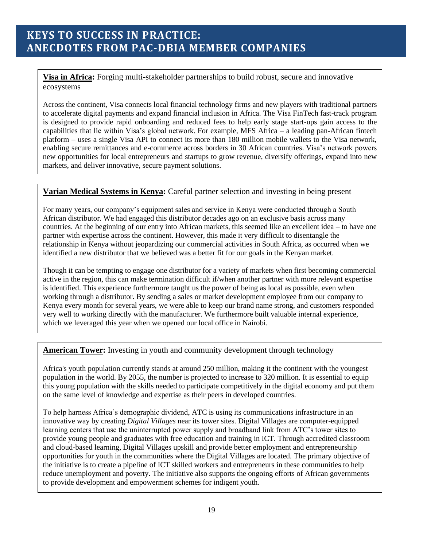**Visa in Africa:** Forging multi-stakeholder partnerships to build robust, secure and innovative ecosystems

Across the continent, Visa connects local financial technology firms and new players with traditional partners to accelerate digital payments and expand financial inclusion in Africa. The Visa FinTech fast-track program is designed to provide rapid onboarding and reduced fees to help early stage start-ups gain access to the capabilities that lie within Visa's global network. For example, MFS Africa – a leading pan-African fintech platform – uses a single Visa API to connect its more than 180 million mobile wallets to the Visa network, enabling secure remittances and e-commerce across borders in 30 African countries. Visa's network powers new opportunities for local entrepreneurs and startups to grow revenue, diversify offerings, expand into new markets, and deliver innovative, secure payment solutions.

### **Varian Medical Systems in Kenya:** Careful partner selection and investing in being present

For many years, our company's equipment sales and service in Kenya were conducted through a South African distributor. We had engaged this distributor decades ago on an exclusive basis across many countries. At the beginning of our entry into African markets, this seemed like an excellent idea – to have one partner with expertise across the continent. However, this made it very difficult to disentangle the relationship in Kenya without jeopardizing our commercial activities in South Africa, as occurred when we identified a new distributor that we believed was a better fit for our goals in the Kenyan market.

Though it can be tempting to engage one distributor for a variety of markets when first becoming commercial active in the region, this can make termination difficult if/when another partner with more relevant expertise is identified. This experience furthermore taught us the power of being as local as possible, even when working through a distributor. By sending a sales or market development employee from our company to Kenya every month for several years, we were able to keep our brand name strong, and customers responded very well to working directly with the manufacturer. We furthermore built valuable internal experience, which we leveraged this year when we opened our local office in Nairobi.

### **American Tower:** Investing in youth and community development through technology

Africa's youth population currently stands at around 250 million, making it the continent with the youngest population in the world. By 2055, the number is projected to increase to 320 million. It is essential to equip this young population with the skills needed to participate competitively in the digital economy and put them on the same level of knowledge and expertise as their peers in developed countries.

To help harness Africa's demographic dividend, ATC is using its communications infrastructure in an innovative way by creating *Digital Villages* near its tower sites. Digital Villages are computer-equipped learning centers that use the uninterrupted power supply and broadband link from ATC's tower sites to provide young people and graduates with free education and training in ICT. Through accredited classroom and cloud-based learning, Digital Villages upskill and provide better employment and entrepreneurship opportunities for youth in the communities where the Digital Villages are located. The primary objective of the initiative is to create a pipeline of ICT skilled workers and entrepreneurs in these communities to help reduce unemployment and poverty. The initiative also supports the ongoing efforts of African governments to provide development and empowerment schemes for indigent youth.